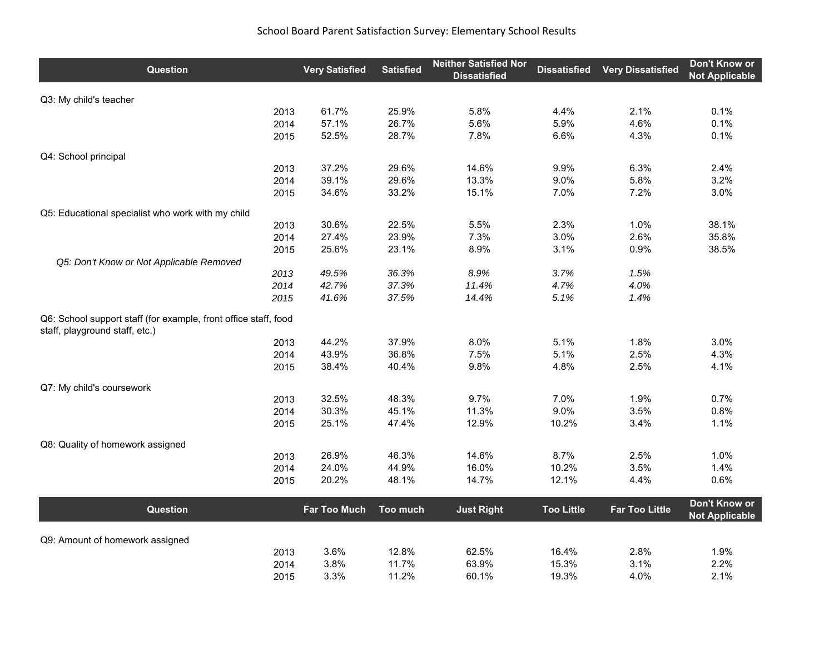| <b>Question</b>                                                                                   | <b>Very Satisfied</b> | <b>Satisfied</b> | <b>Neither Satisfied Nor</b><br><b>Dissatisfied</b> | <b>Dissatisfied</b> | <b>Very Dissatisfied</b> | Don't Know or<br><b>Not Applicable</b> |
|---------------------------------------------------------------------------------------------------|-----------------------|------------------|-----------------------------------------------------|---------------------|--------------------------|----------------------------------------|
| Q3: My child's teacher                                                                            |                       |                  |                                                     |                     |                          |                                        |
| 2013                                                                                              | 61.7%                 | 25.9%            | 5.8%                                                | 4.4%                | 2.1%                     | 0.1%                                   |
| 2014                                                                                              | 57.1%                 | 26.7%            | 5.6%                                                | 5.9%                | 4.6%                     | 0.1%                                   |
| 2015                                                                                              | 52.5%                 | 28.7%            | 7.8%                                                | 6.6%                | 4.3%                     | 0.1%                                   |
| Q4: School principal                                                                              |                       |                  |                                                     |                     |                          |                                        |
| 2013                                                                                              | 37.2%                 | 29.6%            | 14.6%                                               | 9.9%                | 6.3%                     | 2.4%                                   |
| 2014                                                                                              | 39.1%                 | 29.6%            | 13.3%                                               | 9.0%                | 5.8%                     | 3.2%                                   |
| 2015                                                                                              | 34.6%                 | 33.2%            | 15.1%                                               | 7.0%                | 7.2%                     | 3.0%                                   |
| Q5: Educational specialist who work with my child                                                 |                       |                  |                                                     |                     |                          |                                        |
| 2013                                                                                              | 30.6%                 | 22.5%            | 5.5%                                                | 2.3%                | 1.0%                     | 38.1%                                  |
| 2014                                                                                              | 27.4%                 | 23.9%            | 7.3%                                                | 3.0%                | 2.6%                     | 35.8%                                  |
| 2015                                                                                              | 25.6%                 | 23.1%            | 8.9%                                                | 3.1%                | 0.9%                     | 38.5%                                  |
| Q5: Don't Know or Not Applicable Removed                                                          |                       |                  |                                                     |                     |                          |                                        |
| 2013                                                                                              | 49.5%                 | 36.3%            | 8.9%                                                | 3.7%                | 1.5%                     |                                        |
| 2014                                                                                              | 42.7%                 | 37.3%            | 11.4%                                               | 4.7%                | 4.0%                     |                                        |
| 2015                                                                                              | 41.6%                 | 37.5%            | 14.4%                                               | 5.1%                | 1.4%                     |                                        |
| Q6: School support staff (for example, front office staff, food<br>staff, playground staff, etc.) |                       |                  |                                                     |                     |                          |                                        |
| 2013                                                                                              | 44.2%                 | 37.9%            | 8.0%                                                | 5.1%                | 1.8%                     | 3.0%                                   |
| 2014                                                                                              | 43.9%                 | 36.8%            | 7.5%                                                | 5.1%                | 2.5%                     | 4.3%                                   |
| 2015                                                                                              | 38.4%                 | 40.4%            | 9.8%                                                | 4.8%                | 2.5%                     | 4.1%                                   |
| Q7: My child's coursework                                                                         |                       |                  |                                                     |                     |                          |                                        |
| 2013                                                                                              | 32.5%                 | 48.3%            | 9.7%                                                | 7.0%                | 1.9%                     | 0.7%                                   |
| 2014                                                                                              | 30.3%                 | 45.1%            | 11.3%                                               | 9.0%                | 3.5%                     | 0.8%                                   |
| 2015                                                                                              | 25.1%                 | 47.4%            | 12.9%                                               | 10.2%               | 3.4%                     | 1.1%                                   |
| Q8: Quality of homework assigned                                                                  |                       |                  |                                                     |                     |                          |                                        |
| 2013                                                                                              | 26.9%                 | 46.3%            | 14.6%                                               | 8.7%                | 2.5%                     | 1.0%                                   |
| 2014                                                                                              | 24.0%                 | 44.9%            | 16.0%                                               | 10.2%               | 3.5%                     | 1.4%                                   |
| 2015                                                                                              | 20.2%                 | 48.1%            | 14.7%                                               | 12.1%               | 4.4%                     | 0.6%                                   |
| Question                                                                                          | <b>Far Too Much</b>   | Too much         | <b>Just Right</b>                                   | <b>Too Little</b>   | <b>Far Too Little</b>    | Don't Know or<br><b>Not Applicable</b> |
|                                                                                                   |                       |                  |                                                     |                     |                          |                                        |
| Q9: Amount of homework assigned                                                                   |                       |                  |                                                     |                     |                          |                                        |
| 2013                                                                                              | 3.6%                  | 12.8%            | 62.5%                                               | 16.4%               | 2.8%                     | 1.9%                                   |
| 2014                                                                                              | 3.8%                  | 11.7%            | 63.9%                                               | 15.3%               | 3.1%                     | 2.2%                                   |
| 2015                                                                                              | 3.3%                  | 11.2%            | 60.1%                                               | 19.3%               | 4.0%                     | 2.1%                                   |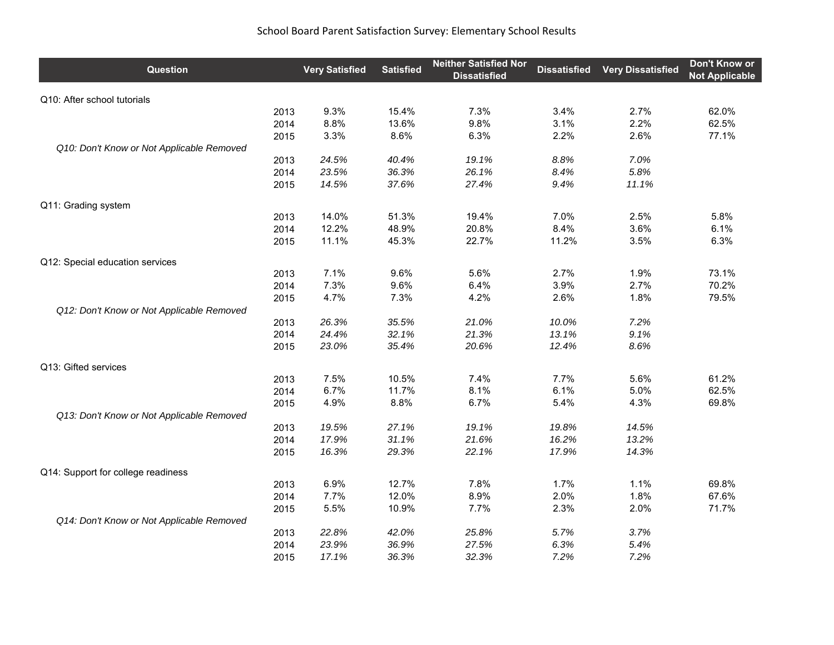| Question                                  |      | <b>Very Satisfied</b> | <b>Satisfied</b> | <b>Neither Satisfied Nor</b><br><b>Dissatisfied</b> | <b>Dissatisfied</b> | <b>Very Dissatisfied</b> | Don't Know or<br><b>Not Applicable</b> |
|-------------------------------------------|------|-----------------------|------------------|-----------------------------------------------------|---------------------|--------------------------|----------------------------------------|
| Q10: After school tutorials               |      |                       |                  |                                                     |                     |                          |                                        |
|                                           | 2013 | 9.3%                  | 15.4%            | 7.3%                                                | 3.4%                | 2.7%                     | 62.0%                                  |
|                                           | 2014 | 8.8%                  | 13.6%            | 9.8%                                                | 3.1%                | 2.2%                     | 62.5%                                  |
|                                           | 2015 | 3.3%                  | 8.6%             | 6.3%                                                | 2.2%                | 2.6%                     | 77.1%                                  |
| Q10: Don't Know or Not Applicable Removed |      |                       |                  |                                                     |                     |                          |                                        |
|                                           | 2013 | 24.5%                 | 40.4%            | 19.1%                                               | 8.8%                | 7.0%                     |                                        |
|                                           | 2014 | 23.5%                 | 36.3%            | 26.1%                                               | 8.4%                | 5.8%                     |                                        |
|                                           | 2015 | 14.5%                 | 37.6%            | 27.4%                                               | 9.4%                | 11.1%                    |                                        |
| Q11: Grading system                       |      |                       |                  |                                                     |                     |                          |                                        |
|                                           | 2013 | 14.0%                 | 51.3%            | 19.4%                                               | 7.0%                | 2.5%                     | 5.8%                                   |
|                                           | 2014 | 12.2%                 | 48.9%            | 20.8%                                               | 8.4%                | 3.6%                     | 6.1%                                   |
|                                           | 2015 | 11.1%                 | 45.3%            | 22.7%                                               | 11.2%               | 3.5%                     | 6.3%                                   |
| Q12: Special education services           |      |                       |                  |                                                     |                     |                          |                                        |
|                                           | 2013 | 7.1%                  | 9.6%             | 5.6%                                                | 2.7%                | 1.9%                     | 73.1%                                  |
|                                           | 2014 | 7.3%                  | 9.6%             | 6.4%                                                | 3.9%                | 2.7%                     | 70.2%                                  |
|                                           | 2015 | 4.7%                  | 7.3%             | 4.2%                                                | 2.6%                | 1.8%                     | 79.5%                                  |
| Q12: Don't Know or Not Applicable Removed |      |                       |                  |                                                     |                     |                          |                                        |
|                                           | 2013 | 26.3%                 | 35.5%            | 21.0%                                               | 10.0%               | 7.2%                     |                                        |
|                                           | 2014 | 24.4%                 | 32.1%            | 21.3%                                               | 13.1%               | 9.1%                     |                                        |
|                                           | 2015 | 23.0%                 | 35.4%            | 20.6%                                               | 12.4%               | 8.6%                     |                                        |
| Q13: Gifted services                      |      |                       |                  |                                                     |                     |                          |                                        |
|                                           | 2013 | 7.5%                  | 10.5%            | 7.4%                                                | 7.7%                | 5.6%                     | 61.2%                                  |
|                                           | 2014 | 6.7%                  | 11.7%            | 8.1%                                                | 6.1%                | 5.0%                     | 62.5%                                  |
|                                           | 2015 | 4.9%                  | 8.8%             | 6.7%                                                | 5.4%                | 4.3%                     | 69.8%                                  |
| Q13: Don't Know or Not Applicable Removed |      |                       |                  |                                                     |                     |                          |                                        |
|                                           | 2013 | 19.5%                 | 27.1%            | 19.1%                                               | 19.8%               | 14.5%                    |                                        |
|                                           | 2014 | 17.9%                 | 31.1%            | 21.6%                                               | 16.2%               | 13.2%                    |                                        |
|                                           | 2015 | 16.3%                 | 29.3%            | 22.1%                                               | 17.9%               | 14.3%                    |                                        |
| Q14: Support for college readiness        |      |                       |                  |                                                     |                     |                          |                                        |
|                                           | 2013 | 6.9%                  | 12.7%            | 7.8%                                                | 1.7%                | 1.1%                     | 69.8%                                  |
|                                           | 2014 | 7.7%                  | 12.0%            | 8.9%                                                | 2.0%                | 1.8%                     | 67.6%                                  |
|                                           | 2015 | 5.5%                  | 10.9%            | 7.7%                                                | 2.3%                | 2.0%                     | 71.7%                                  |
| Q14: Don't Know or Not Applicable Removed |      |                       |                  |                                                     |                     |                          |                                        |
|                                           | 2013 | 22.8%                 | 42.0%            | 25.8%                                               | 5.7%                | 3.7%                     |                                        |
|                                           | 2014 | 23.9%                 | 36.9%            | 27.5%                                               | 6.3%                | 5.4%                     |                                        |
|                                           | 2015 | 17.1%                 | 36.3%            | 32.3%                                               | 7.2%                | 7.2%                     |                                        |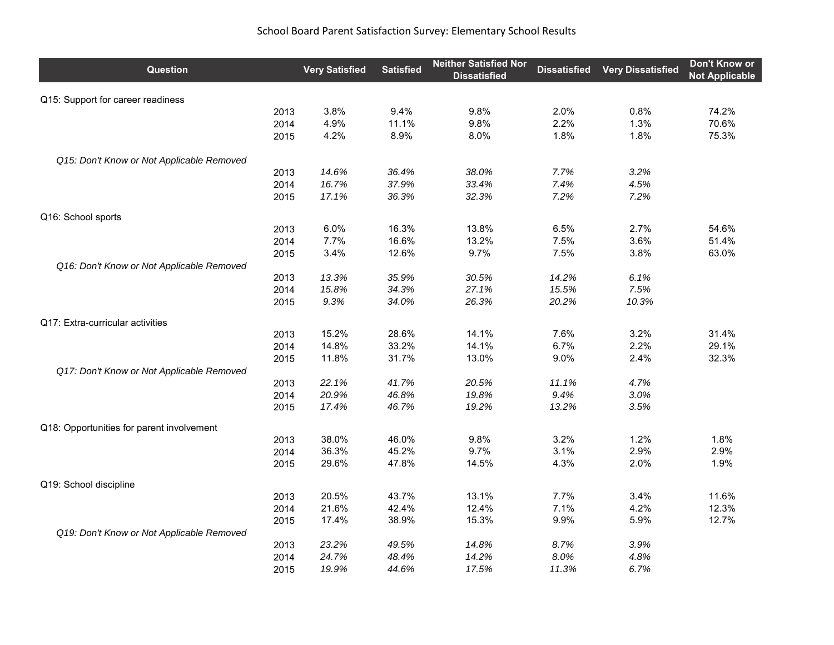| Question                                  | <b>Very Satisfied</b> | <b>Satisfied</b> | <b>Neither Satisfied Nor</b><br><b>Dissatisfied</b> | <b>Dissatisfied</b> | <b>Very Dissatisfied</b> | Don't Know or<br><b>Not Applicable</b> |
|-------------------------------------------|-----------------------|------------------|-----------------------------------------------------|---------------------|--------------------------|----------------------------------------|
| Q15: Support for career readiness         |                       |                  |                                                     |                     |                          |                                        |
| 2013                                      | 3.8%                  | 9.4%             | 9.8%                                                | 2.0%                | 0.8%                     | 74.2%                                  |
| 2014                                      | 4.9%                  | 11.1%            | 9.8%                                                | 2.2%                | 1.3%                     | 70.6%                                  |
| 2015                                      | 4.2%                  | 8.9%             | 8.0%                                                | 1.8%                | 1.8%                     | 75.3%                                  |
| Q15: Don't Know or Not Applicable Removed |                       |                  |                                                     |                     |                          |                                        |
| 2013                                      | 14.6%                 | 36.4%            | 38.0%                                               | 7.7%                | 3.2%                     |                                        |
| 2014                                      | 16.7%                 | 37.9%            | 33.4%                                               | 7.4%                | 4.5%                     |                                        |
| 2015                                      | 17.1%                 | 36.3%            | 32.3%                                               | 7.2%                | 7.2%                     |                                        |
| Q16: School sports                        |                       |                  |                                                     |                     |                          |                                        |
| 2013                                      | 6.0%                  | 16.3%            | 13.8%                                               | 6.5%                | 2.7%                     | 54.6%                                  |
| 2014                                      | 7.7%                  | 16.6%            | 13.2%                                               | 7.5%                | 3.6%                     | 51.4%                                  |
| 2015                                      | 3.4%                  | 12.6%            | 9.7%                                                | 7.5%                | 3.8%                     | 63.0%                                  |
| Q16: Don't Know or Not Applicable Removed |                       |                  |                                                     |                     |                          |                                        |
| 2013                                      | 13.3%                 | 35.9%            | 30.5%                                               | 14.2%               | 6.1%                     |                                        |
| 2014                                      | 15.8%                 | 34.3%            | 27.1%                                               | 15.5%               | 7.5%                     |                                        |
| 2015                                      | 9.3%                  | 34.0%            | 26.3%                                               | 20.2%               | 10.3%                    |                                        |
| Q17: Extra-curricular activities          |                       |                  |                                                     |                     |                          |                                        |
| 2013                                      | 15.2%                 | 28.6%            | 14.1%                                               | 7.6%                | 3.2%                     | 31.4%                                  |
| 2014                                      | 14.8%                 | 33.2%            | 14.1%                                               | 6.7%                | 2.2%                     | 29.1%                                  |
| 2015                                      | 11.8%                 | 31.7%            | 13.0%                                               | 9.0%                | 2.4%                     | 32.3%                                  |
| Q17: Don't Know or Not Applicable Removed |                       |                  |                                                     |                     |                          |                                        |
| 2013                                      | 22.1%                 | 41.7%            | 20.5%                                               | 11.1%               | 4.7%                     |                                        |
| 2014                                      | 20.9%                 | 46.8%            | 19.8%                                               | 9.4%                | 3.0%                     |                                        |
| 2015                                      | 17.4%                 | 46.7%            | 19.2%                                               | 13.2%               | 3.5%                     |                                        |
| Q18: Opportunities for parent involvement |                       |                  |                                                     |                     |                          |                                        |
| 2013                                      | 38.0%                 | 46.0%            | 9.8%                                                | 3.2%                | 1.2%                     | 1.8%                                   |
| 2014                                      | 36.3%                 | 45.2%            | 9.7%                                                | 3.1%                | 2.9%                     | 2.9%                                   |
| 2015                                      | 29.6%                 | 47.8%            | 14.5%                                               | 4.3%                | 2.0%                     | 1.9%                                   |
| Q19: School discipline                    |                       |                  |                                                     |                     |                          |                                        |
| 2013                                      | 20.5%                 | 43.7%            | 13.1%                                               | 7.7%                | 3.4%                     | 11.6%                                  |
| 2014                                      | 21.6%                 | 42.4%            | 12.4%                                               | 7.1%                | 4.2%                     | 12.3%                                  |
| 2015                                      | 17.4%                 | 38.9%            | 15.3%                                               | 9.9%                | 5.9%                     | 12.7%                                  |
| Q19: Don't Know or Not Applicable Removed |                       |                  |                                                     |                     |                          |                                        |
| 2013                                      | 23.2%                 | 49.5%            | 14.8%                                               | 8.7%                | 3.9%                     |                                        |
| 2014                                      | 24.7%                 | 48.4%            | 14.2%                                               | 8.0%                | 4.8%                     |                                        |
| 2015                                      | 19.9%                 | 44.6%            | 17.5%                                               | 11.3%               | 6.7%                     |                                        |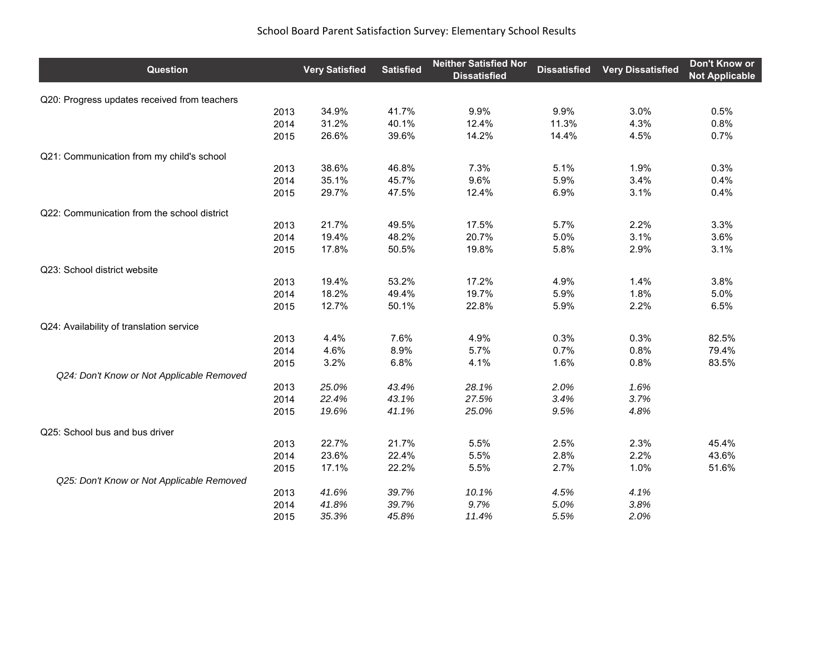| Question                                     | <b>Very Satisfied</b> | <b>Satisfied</b> | <b>Neither Satisfied Nor</b><br><b>Dissatisfied</b> | <b>Dissatisfied</b> | <b>Very Dissatisfied</b> | Don't Know or<br><b>Not Applicable</b> |
|----------------------------------------------|-----------------------|------------------|-----------------------------------------------------|---------------------|--------------------------|----------------------------------------|
| Q20: Progress updates received from teachers |                       |                  |                                                     |                     |                          |                                        |
| 2013                                         | 34.9%                 | 41.7%            | 9.9%                                                | 9.9%                | 3.0%                     | 0.5%                                   |
| 2014                                         | 31.2%                 | 40.1%            | 12.4%                                               | 11.3%               | 4.3%                     | 0.8%                                   |
| 2015                                         | 26.6%                 | 39.6%            | 14.2%                                               | 14.4%               | 4.5%                     | 0.7%                                   |
| Q21: Communication from my child's school    |                       |                  |                                                     |                     |                          |                                        |
| 2013                                         | 38.6%                 | 46.8%            | 7.3%                                                | 5.1%                | 1.9%                     | 0.3%                                   |
| 2014                                         | 35.1%                 | 45.7%            | 9.6%                                                | 5.9%                | 3.4%                     | 0.4%                                   |
| 2015                                         | 29.7%                 | 47.5%            | 12.4%                                               | 6.9%                | 3.1%                     | 0.4%                                   |
| Q22: Communication from the school district  |                       |                  |                                                     |                     |                          |                                        |
| 2013                                         | 21.7%                 | 49.5%            | 17.5%                                               | 5.7%                | 2.2%                     | 3.3%                                   |
| 2014                                         | 19.4%                 | 48.2%            | 20.7%                                               | 5.0%                | 3.1%                     | 3.6%                                   |
| 2015                                         | 17.8%                 | 50.5%            | 19.8%                                               | 5.8%                | 2.9%                     | 3.1%                                   |
| Q23: School district website                 |                       |                  |                                                     |                     |                          |                                        |
| 2013                                         | 19.4%                 | 53.2%            | 17.2%                                               | 4.9%                | 1.4%                     | 3.8%                                   |
| 2014                                         | 18.2%                 | 49.4%            | 19.7%                                               | 5.9%                | 1.8%                     | 5.0%                                   |
| 2015                                         | 12.7%                 | 50.1%            | 22.8%                                               | 5.9%                | 2.2%                     | 6.5%                                   |
| Q24: Availability of translation service     |                       |                  |                                                     |                     |                          |                                        |
| 2013                                         | 4.4%                  | 7.6%             | 4.9%                                                | 0.3%                | 0.3%                     | 82.5%                                  |
| 2014                                         | 4.6%                  | 8.9%             | 5.7%                                                | 0.7%                | 0.8%                     | 79.4%                                  |
| 2015                                         | 3.2%                  | 6.8%             | 4.1%                                                | 1.6%                | 0.8%                     | 83.5%                                  |
| Q24: Don't Know or Not Applicable Removed    |                       |                  |                                                     |                     |                          |                                        |
| 2013                                         | 25.0%                 | 43.4%            | 28.1%                                               | 2.0%                | 1.6%                     |                                        |
| 2014                                         | 22.4%                 | 43.1%            | 27.5%                                               | 3.4%                | 3.7%                     |                                        |
| 2015                                         | 19.6%                 | 41.1%            | 25.0%                                               | 9.5%                | 4.8%                     |                                        |
| Q25: School bus and bus driver               |                       |                  |                                                     |                     |                          |                                        |
| 2013                                         | 22.7%                 | 21.7%            | 5.5%                                                | 2.5%                | 2.3%                     | 45.4%                                  |
| 2014                                         | 23.6%                 | 22.4%            | 5.5%                                                | 2.8%                | 2.2%                     | 43.6%                                  |
| 2015                                         | 17.1%                 | 22.2%            | 5.5%                                                | 2.7%                | 1.0%                     | 51.6%                                  |
| Q25: Don't Know or Not Applicable Removed    |                       |                  |                                                     |                     |                          |                                        |
| 2013                                         | 41.6%                 | 39.7%            | 10.1%                                               | 4.5%                | 4.1%                     |                                        |
| 2014                                         | 41.8%                 | 39.7%            | 9.7%                                                | 5.0%                | 3.8%                     |                                        |
| 2015                                         | 35.3%                 | 45.8%            | 11.4%                                               | 5.5%                | 2.0%                     |                                        |